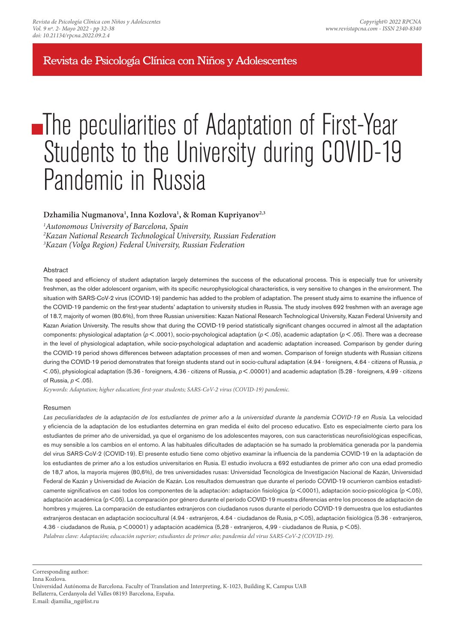Revista de Psicología Clínica con Niños y Adolescentes

# **The peculiarities of Adaptation of First-Year** Students to the University during COVID-19 Pandemic in Russia

## **Dzhamilia Nugmanova<sup>1</sup> , Inna Kozlova<sup>1</sup> , & Roman Kupriyanov2,3**

*<sup>1</sup>Autonomous University of Barcelona, Spain* 

*<sup>2</sup>Kazan National Research Technological University, Russian Federation* 

*<sup>3</sup>Kazan (Volga Region) Federal University, Russian Federation*

### Abstract

The speed and efficiency of student adaptation largely determines the success of the educational process. This is especially true for university freshmen, as the older adolescent organism, with its specific neurophysiological characteristics, is very sensitive to changes in the environment. The situation with SARS-CoV-2 virus (COVID-19) pandemic has added to the problem of adaptation. The present study aims to examine the influence of the COVID-19 pandemic on the first-year students' adaptation to university studies in Russia. The study involves 692 freshmen with an average age of 18.7, majority of women (80.6%), from three Russian universities: Kazan National Research Technological University, Kazan Federal University and Kazan Aviation University. The results show that during the COVID-19 period statistically significant changes occurred in almost all the adaptation components: physiological adaptation (*p* < .0001), socio-psychological adaptation (*p* < .05), academic adaptation (*p* < .05). There was a decrease in the level of physiological adaptation, while socio-psychological adaptation and academic adaptation increased. Comparison by gender during the COVID-19 period shows differences between adaptation processes of men and women. Comparison of foreign students with Russian citizens during the COVID-19 period demonstrates that foreign students stand out in socio-cultural adaptation (4.94 - foreigners, 4.64 - citizens of Russia, *p*  < .05), physiological adaptation (5.36 - foreigners, 4.36 - citizens of Russia, *p* < .00001) and academic adaptation (5.28 - foreigners, 4.99 - citizens of Russia, *p* < .05).

*Keywords: Adaptation; higher education; first-year students; SARS-CoV-2 virus (COVID-19) pandemic.*

#### Resumen

Las peculiaridades de la adaptación de los estudiantes de primer año a la universidad durante la pandemia COVID-19 en Rusia. La velocidad y eficiencia de la adaptación de los estudiantes determina en gran medida el éxito del proceso educativo. Esto es especialmente cierto para los estudiantes de primer año de universidad, ya que el organismo de los adolescentes mayores, con sus características neurofisiológicas específicas, es muy sensible a los cambios en el entorno. A las habituales dificultades de adaptación se ha sumado la problemática generada por la pandemia del virus SARS-CoV-2 (COVID-19). El presente estudio tiene como objetivo examinar la influencia de la pandemia COVID-19 en la adaptación de los estudiantes de primer año a los estudios universitarios en Rusia. El estudio involucra a 692 estudiantes de primer año con una edad promedio de 18,7 años, la mayoría mujeres (80,6%), de tres universidades rusas: Universidad Tecnológica de Investigación Nacional de Kazán, Universidad Federal de Kazán y Universidad de Aviación de Kazán. Los resultados demuestran que durante el período COVID-19 ocurrieron cambios estadísticamente significativos en casi todos los componentes de la adaptación: adaptación fisiológica (p <.0001), adaptación socio-psicológica (p <.05), adaptación académica (p <.05). La comparación por género durante el período COVID-19 muestra diferencias entre los procesos de adaptación de hombres y mujeres. La comparación de estudiantes extranjeros con ciudadanos rusos durante el período COVID-19 demuestra que los estudiantes extranjeros destacan en adaptación sociocultural (4.94 - extranjeros, 4.64 - ciudadanos de Rusia, p <.05), adaptación fisiológica (5.36 - extranjeros, 4.36 - ciudadanos de Rusia, p <.00001) y adaptación académica (5,28 - extranjeros, 4,99 - ciudadanos de Rusia, p <.05). *Palabras clave: Adaptación; educación superior; estudiantes de primer año; pandemia del virus SARS-CoV-2 (COVID-19).*

Corresponding author:

Inna Kozlova.

Universidad Autónoma de Barcelona. Faculty of Translation and Interpreting, K-1023, Building K, Campus UAB Bellaterra, Cerdanyola del Valles 08193 Barcelona, España.

E.mail: djamilia\_ng@list.ru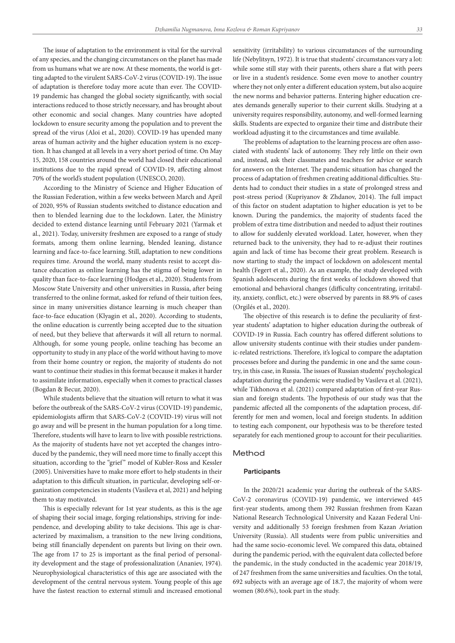The issue of adaptation to the environment is vital for the survival of any species, and the changing circumstances on the planet has made from us humans what we are now. At these moments, the world is getting adapted to the virulent SARS-CoV-2 virus (COVID-19). The issue of adaptation is therefore today more acute than ever. The COVID-19 pandemic has changed the global society significantly, with social interactions reduced to those strictly necessary, and has brought about other economic and social changes. Many countries have adopted lockdown to ensure security among the population and to prevent the spread of the virus (Aloi et al., 2020). COVID-19 has upended many areas of human activity and the higher education system is no exception. It has changed at all levels in a very short period of time. On May 15, 2020, 158 countries around the world had closed their educational institutions due to the rapid spread of COVID-19, affecting almost 70% of the world's student population (UNESCO, 2020).

According to the Ministry of Science and Higher Education of the Russian Federation, within a few weeks between March and April of 2020, 95% of Russian students switched to distance education and then to blended learning due to the lockdown. Later, the Ministry decided to extend distance learning until February 2021 (Yarmak et al., 2021). Today, university freshmen are exposed to a range of study formats, among them online learning, blended leaning, distance learning and face-to-face learning. Still, adaptation to new conditions requires time. Around the world, many students resist to accept distance education as online learning has the stigma of being lower in quality than face-to-face learning (Hodges et al., 2020). Students from Moscow State University and other universities in Russia, after being transferred to the online format, asked for refund of their tuition fees, since in many universities distance learning is much cheaper than face-to-face education (Klyagin et al., 2020). According to students, the online education is currently being accepted due to the situation of need, but they believe that afterwards it will all return to normal. Although, for some young people, online teaching has become an opportunity to study in any place of the world without having to move from their home country or region, the majority of students do not want to continue their studies in this format because it makes it harder to assimilate information, especially when it comes to practical classes (Bogdan & Becur, 2020).

While students believe that the situation will return to what it was before the outbreak of the SARS-CoV-2 virus (COVID-19) pandemic, epidemiologists affirm that SARS-CoV-2 (COVID-19) virus will not go away and will be present in the human population for a long time. Therefore, students will have to learn to live with possible restrictions. As the majority of students have not yet accepted the changes introduced by the pandemic, they will need more time to finally accept this situation, according to the "grief" model of Kubler-Ross and Kessler (2005). Universities have to make more effort to help students in their adaptation to this difficult situation, in particular, developing self-organization competencies in students (Vasileva et al, 2021) and helping them to stay motivated.

This is especially relevant for 1st year students, as this is the age of shaping their social image, forging relationships, striving for independence, and developing ability to take decisions. This age is characterized by maximalism, a transition to the new living conditions, being still financially dependent on parents but living on their own. The age from 17 to 25 is important as the final period of personality development and the stage of professionalization (Ananiev, 1974). Neurophysiological characteristics of this age are associated with the development of the central nervous system. Young people of this age have the fastest reaction to external stimuli and increased emotional

sensitivity (irritability) to various circumstances of the surrounding life (Nebylitsyn, 1972). It is true that students' circumstances vary a lot: while some still stay with their parents, others share a flat with peers or live in a student's residence. Some even move to another country where they not only enter a different education system, but also acquire the new norms and behavior patterns. Entering higher education creates demands generally superior to their current skills. Studying at a university requires responsibility, autonomy, and well-formed learning skills. Students are expected to organize their time and distribute their workload adjusting it to the circumstances and time available.

The problems of adaptation to the learning process are often associated with students' lack of autonomy. They rely little on their own and, instead, ask their classmates and teachers for advice or search for answers on the Internet. The pandemic situation has changed the process of adaptation of freshmen creating additional difficulties. Students had to conduct their studies in a state of prolonged stress and post-stress period (Kupriyanov & Zhdanov, 2014). The full impact of this factor on student adaptation to higher education is yet to be known. During the pandemics, the majority of students faced the problem of extra time distribution and needed to adjust their routines to allow for suddenly elevated workload. Later, however, when they returned back to the university, they had to re-adjust their routines again and lack of time has become their great problem. Research is now starting to study the impact of lockdown on adolescent mental health (Fegert et al., 2020). As an example, the study developed with Spanish adolescents during the first weeks of lockdown showed that emotional and behavioral changes (difficulty concentrating, irritability, anxiety, conflict, etc.) were observed by parents in 88.9% of cases (Orgilés et al., 2020).

The objective of this research is to define the peculiarity of firstyear students' adaptation to higher education during the outbreak of COVID-19 in Russia. Each country has offered different solutions to allow university students continue with their studies under pandemic-related restrictions. Therefore, it's logical to compare the adaptation processes before and during the pandemic in one and the same country, in this case, in Russia. The issues of Russian students' psychological adaptation during the pandemic were studied by Vasileva et al. (2021), while Tikhonova et al. (2021) compared adaptation of first-year Russian and foreign students. The hypothesis of our study was that the pandemic affected all the components of the adaptation process, differently for men and women, local and foreign students. In addition to testing each component, our hypothesis was to be therefore tested separately for each mentioned group to account for their peculiarities.

## Method

## **Participants**

In the 2020/21 academic year during the outbreak of the SARS-CoV-2 coronavirus (COVID-19) pandemic, we interviewed 445 first-year students, among them 392 Russian freshmen from Kazan National Research Technological University and Kazan Federal University and additionally 53 foreign freshmen from Kazan Aviation University (Russia). All students were from public universities and had the same socio-economic level. We compared this data, obtained during the pandemic period, with the equivalent data collected before the pandemic, in the study conducted in the academic year 2018/19, of 247 freshmen from the same universities and faculties. On the total, 692 subjects with an average age of 18.7, the majority of whom were women (80.6%), took part in the study.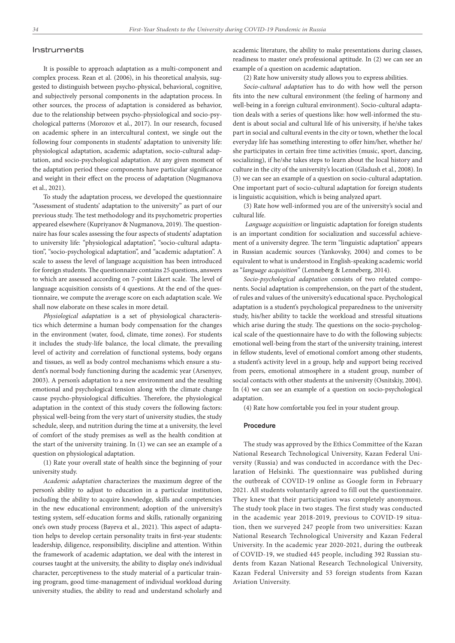#### Instruments

It is possible to approach adaptation as a multi-component and complex process. Rean et al. (2006), in his theoretical analysis, suggested to distinguish between psycho-physical, behavioral, cognitive, and subjectively personal components in the adaptation process. In other sources, the process of adaptation is considered as behavior, due to the relationship between psycho-physiological and socio-psychological patterns (Morozov et al., 2017). In our research, focused on academic sphere in an intercultural context, we single out the following four components in students' adaptation to university life: physiological adaptation, academic adaptation, socio-cultural adaptation, and socio-psychological adaptation. At any given moment of the adaptation period these components have particular significance and weight in their effect on the process of adaptation (Nugmanova et al., 2021).

To study the adaptation process, we developed the questionnaire "Assessment of students' adaptation to the university" as part of our previous study. The test methodology and its psychometric properties appeared elsewhere (Kupriyanov & Nugmanova, 2019). The questionnaire has four scales assessing the four aspects of students' adaptation to university life: "physiological adaptation", "socio-cultural adaptation", "socio-psychological adaptation", and "academic adaptation". A scale to assess the level of language acquisition has been introduced for foreign students. The questionnaire contains 25 questions, answers to which are assessed according on 7-point Likert scale. The level of language acquisition consists of 4 questions. At the end of the questionnaire, we compute the average score on each adaptation scale. We shall now elaborate on these scales in more detail.

*Physiological adaptation* is a set of physiological characteristics which determine a human body compensation for the changes in the environment (water, food, climate, time zones). For students it includes the study-life balance, the local climate, the prevailing level of activity and correlation of functional systems, body organs and tissues, as well as body control mechanisms which ensure a student's normal body functioning during the academic year (Arsenyev, 2003). A person's adaptation to a new environment and the resulting emotional and psychological tension along with the climate change cause psycho-physiological difficulties. Therefore, the physiological adaptation in the context of this study covers the following factors: physical well-being from the very start of university studies, the study schedule, sleep, and nutrition during the time at a university, the level of comfort of the study premises as well as the health condition at the start of the university training. In (1) we can see an example of a question on physiological adaptation.

(1) Rate your overall state of health since the beginning of your university study.

*Academic adaptation* characterizes the maximum degree of the person's ability to adjust to education in a particular institution, including the ability to acquire knowledge, skills and competencies in the new educational environment; adoption of the university's testing system, self-education forms and skills, rationally organizing one's own study process (Bayeva et al., 2021). This aspect of adaptation helps to develop certain personality traits in first-year students: leadership, diligence, responsibility, discipline and attention. Within the framework of academic adaptation, we deal with the interest in courses taught at the university, the ability to display one's individual character, perceptiveness to the study material of a particular training program, good time-management of individual workload during university studies, the ability to read and understand scholarly and academic literature, the ability to make presentations during classes, readiness to master one's professional aptitude. In (2) we can see an example of a question on academic adaptation.

(2) Rate how university study allows you to express abilities.

*Socio-cultural adaptation* has to do with how well the person fits into the new cultural environment (the feeling of harmony and well-being in a foreign cultural environment). Socio-cultural adaptation deals with a series of questions like: how well-informed the student is about social and cultural life of his university, if he/she takes part in social and cultural events in the city or town, whether the local everyday life has something interesting to offer him/her, whether he/ she participates in certain free time activities (music, sport, dancing, socializing), if he/she takes steps to learn about the local history and culture in the city of the university's location (Gladush et al., 2008). In (3) we can see an example of a question on socio-cultural adaptation. One important part of socio-cultural adaptation for foreign students is linguistic acquisition, which is being analyzed apart.

(3) Rate how well-informed you are of the university's social and cultural life.

 *Language acquisition* or linguistic adaptation for foreign students is an important condition for socialization and successful achievement of a university degree. The term "linguistic adaptation" appears in Russian academic sources (Yankovsky, 2004) and comes to be equivalent to what is understood in English-speaking academic world as "*language acquisition*" (Lenneberg & Lenneberg, 2014).

*Socio-psychological adaptation* consists of two related components. Social adaptation is comprehension, on the part of the student, of rules and values of the university's educational space. Psychological adaptation is a student's psychological preparedness to the university study, his/her ability to tackle the workload and stressful situations which arise during the study. The questions on the socio-psychological scale of the questionnaire have to do with the following subjects: emotional well-being from the start of the university training, interest in fellow students, level of emotional comfort among other students, a student's activity level in a group, help and support being received from peers, emotional atmosphere in a student group, number of social contacts with other students at the university (Osnitskiy, 2004). In (4) we can see an example of a question on socio-psychological adaptation.

(4) Rate how comfortable you feel in your student group.

#### Procedure

The study was approved by the Ethics Committee of the Kazan National Research Technological University, Kazan Federal University (Russia) and was conducted in accordance with the Declaration of Helsinki. The questionnaire was published during the outbreak of COVID-19 online as Google form in February 2021. All students voluntarily agreed to fill out the questionnaire. They knew that their participation was completely anonymous. The study took place in two stages. The first study was conducted in the academic year 2018-2019, previous to COVID-19 situation, then we surveyed 247 people from two universities: Kazan National Research Technological University and Kazan Federal University. In the academic year 2020-2021, during the outbreak of COVID-19, we studied 445 people, including 392 Russian students from Kazan National Research Technological University, Kazan Federal University and 53 foreign students from Kazan Aviation University.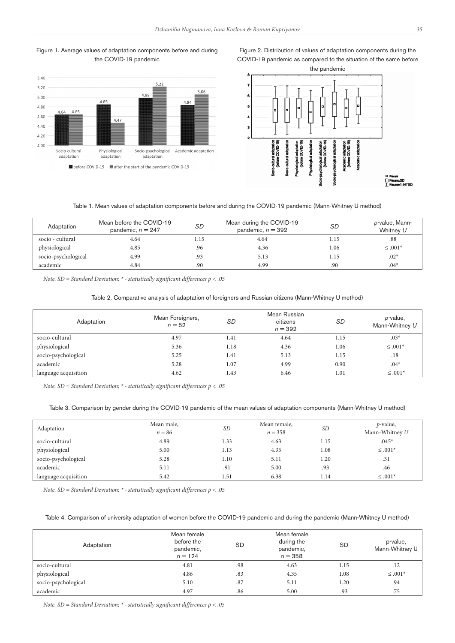





Figure 2. Distribution of values of adaptation components during the

# Table 1. Mean values of adaptation components before and during the COVID-19 pandemic (Mann-Whitney U method)

| Adaptation          | Mean before the COVID-19<br>pandemic, $n = 247$ | SD   | Mean during the COVID-19<br>pandemic, $n = 392$ | SD   | p-value, Mann-<br>Whitney U |
|---------------------|-------------------------------------------------|------|-------------------------------------------------|------|-----------------------------|
| socio - cultural    | 4.64                                            | l.15 | 4.64                                            | 1.15 | .88                         |
| physiological       | 4.85                                            | .96  | 4.36                                            | 1.06 | $\leq .001*$                |
| socio-psychological | 4.99                                            | .93  | 5.13                                            | 1.15 | $.02*$                      |
| academic            | 4.84                                            | .90  | 4.99                                            | .90  | $.04*$                      |

*Note. SD = Standard Deviation; \* - statistically significant differences p < .05*

## Table 2. Comparative analysis of adaptation of foreigners and Russian citizens (Mann-Whitney U method)

| Adaptation           | Mean Foreigners,<br>$n = 52$ | <b>SD</b> | Mean Russian<br>citizens<br>$n = 392$ | <b>SD</b> | p-value,<br>Mann-Whitney U |
|----------------------|------------------------------|-----------|---------------------------------------|-----------|----------------------------|
| socio-cultural       | 4.97                         | 1.41      | 4.64                                  | 1.15      | $.03*$                     |
| physiological        | 5.36                         | 1.18      | 4.36                                  | 1.06      | $\leq .001*$               |
| socio-psychological  | 5.25                         | 1.41      | 5.13                                  | 1.15      | .18                        |
| academic             | 5.28                         | 1.07      | 4.99                                  | 0.90      | $.04*$                     |
| language acquisition | 4.62                         | 1.43      | 6.46                                  | 1.01      | $\leq .001*$               |

*Note. SD = Standard Deviation; \* - statistically significant differences p < .05*

#### Table 3. Comparison by gender during the COVID-19 pandemic of the mean values of adaptation components (Mann-Whitney U method)

| Adaptation           | Mean male,<br>$n = 86$ | <i>SD</i> | Mean female,<br>$n = 358$ | SD   | <i>p</i> -value,<br>Mann-Whitney U |
|----------------------|------------------------|-----------|---------------------------|------|------------------------------------|
| socio-cultural       | 4.89                   | 1.33      | 4.63                      | 1.15 | $.045*$                            |
| physiological        | 5.00                   | 1.13      | 4.35                      | 1.08 | $\leq .001*$                       |
| socio-psychological  | 5.28                   | 1.10      | 5.11                      | 1.20 | .31                                |
| academic             | 5.11                   | .91       | 5.00                      | .93  | .46                                |
| language acquisition | 5.42                   | 1.51      | 6.38                      | 1.14 | $\leq .001*$                       |

*Note. SD = Standard Deviation; \* - statistically significant differences p < .05*

#### Table 4. Comparison of university adaptation of women before the COVID-19 pandemic and during the pandemic (Mann-Whitney U method)

| Adaptation          | Mean female<br>before the<br>pandemic,<br>$n = 124$ | <b>SD</b> | Mean female<br>during the<br>pandemic,<br>$n = 358$ | <b>SD</b> | p-value,<br>Mann-Whitney U |
|---------------------|-----------------------------------------------------|-----------|-----------------------------------------------------|-----------|----------------------------|
| socio-cultural      | 4.81                                                | .98       | 4.63                                                | 1.15      | .12                        |
| physiological       | 4.86                                                | .83       | 4.35                                                | 1.08      | $\leq .001*$               |
| socio-psychological | 5.10                                                | .87       | 5.11                                                | 1.20      | .94                        |
| academic            | 4.97                                                | .86       | 5.00                                                | .93       | .75                        |

*Note. SD = Standard Deviation; \* - statistically significant differences p < .05*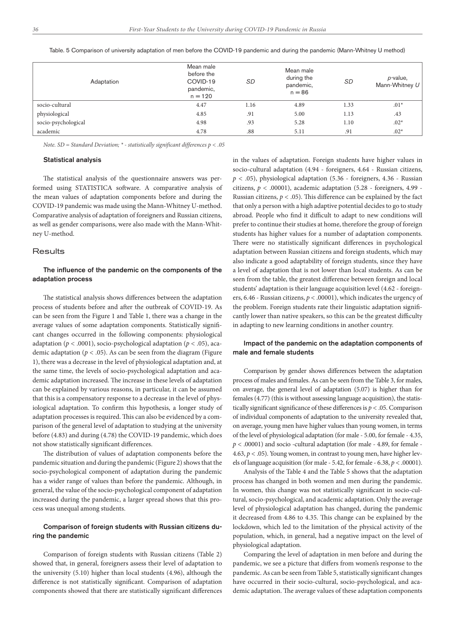| Adaptation          | Mean male<br>before the<br>COVID-19<br>pandemic,<br>$n = 120$ | SD   | Mean male<br>during the<br>pandemic,<br>$n = 86$ | SD   | p-value,<br>Mann-Whitney U |
|---------------------|---------------------------------------------------------------|------|--------------------------------------------------|------|----------------------------|
| socio-cultural      | 4.47                                                          | 1.16 | 4.89                                             | 1.33 | $.01*$                     |
| physiological       | 4.85                                                          | .91  | 5.00                                             | 1.13 | .43                        |
| socio-psychological | 4.98                                                          | .93  | 5.28                                             | 1.10 | $.02*$                     |
| academic            | 4.78                                                          | .88  | 5.11                                             | .91  | $.02*$                     |

Table. 5 Comparison of university adaptation of men before the COVID-19 pandemic and during the pandemic (Mann-Whitney U method)

*Note. SD = Standard Deviation; \* - statistically significant differences p < .05*

#### Statistical analysis

The statistical analysis of the questionnaire answers was performed using STATISTICA software. A comparative analysis of the mean values of adaptation components before and during the COVID-19 pandemic was made using the Mann-Whitney U-method. Comparative analysis of adaptation of foreigners and Russian citizens, as well as gender comparisons, were also made with the Mann-Whitney U-method.

#### **Results**

## The influence of the pandemic on the components of the adaptation process

The statistical analysis shows differences between the adaptation process of students before and after the outbreak of COVID-19. As can be seen from the Figure 1 and Table 1, there was a change in the average values of some adaptation components. Statistically significant changes occurred in the following components: physiological adaptation (*p <* .0001), socio-psychological adaptation (*p <* .05), academic adaptation ( $p < .05$ ). As can be seen from the diagram (Figure 1), there was a decrease in the level of physiological adaptation and, at the same time, the levels of socio-psychological adaptation and academic adaptation increased. The increase in these levels of adaptation can be explained by various reasons, in particular, it can be assumed that this is a compensatory response to a decrease in the level of physiological adaptation. To confirm this hypothesis, a longer study of adaptation processes is required. This can also be evidenced by a comparison of the general level of adaptation to studying at the university before (4.83) and during (4.78) the COVID-19 pandemic, which does not show statistically significant differences.

The distribution of values of adaptation components before the pandemic situation and during the pandemic (Figure 2) shows that the socio-psychological component of adaptation during the pandemic has a wider range of values than before the pandemic. Although, in general, the value of the socio-psychological component of adaptation increased during the pandemic, a larger spread shows that this process was unequal among students.

## Comparison of foreign students with Russian citizens during the pandemic

Comparison of foreign students with Russian citizens (Table 2) showed that, in general, foreigners assess their level of adaptation to the university (5.10) higher than local students (4.96), although the difference is not statistically significant. Comparison of adaptation components showed that there are statistically significant differences in the values of adaptation. Foreign students have higher values in socio-cultural adaptation (4.94 - foreigners, 4.64 - Russian citizens, *p <* .05), physiological adaptation (5.36 - foreigners, 4.36 - Russian citizens, *p <* .00001), academic adaptation (5.28 - foreigners, 4.99 - Russian citizens,  $p < .05$ ). This difference can be explained by the fact that only a person with a high adaptive potential decides to go to study abroad. People who find it difficult to adapt to new conditions will prefer to continue their studies at home, therefore the group of foreign students has higher values for a number of adaptation components. There were no statistically significant differences in psychological adaptation between Russian citizens and foreign students, which may also indicate a good adaptability of foreign students, since they have a level of adaptation that is not lower than local students. As can be seen from the table, the greatest difference between foreign and local students' adaptation is their language acquisition level (4.62 - foreigners, 6.46 - Russian citizens, *p <* .00001), which indicates the urgency of the problem. Foreign students rate their linguistic adaptation significantly lower than native speakers, so this can be the greatest difficulty in adapting to new learning conditions in another country.

## Impact of the pandemic on the adaptation components of male and female students

Comparison by gender shows differences between the adaptation process of males and females. As can be seen from the Table 3, for males, on average, the general level of adaptation (5.07) is higher than for females (4.77) (this is without assessing language acquisition), the statistically significant significance of these differences is *p <* .05. Comparison of individual components of adaptation to the university revealed that, on average, young men have higher values than young women, in terms of the level of physiological adaptation (for male - 5.00, for female - 4.35, *p <* .00001) and socio -cultural adaptation (for male - 4.89, for female - 4.63,  $p < .05$ ). Young women, in contrast to young men, have higher levels of language acquisition (for male - 5.42, for female - 6.38, *p <* .00001).

Analysis of the Table 4 and the Table 5 shows that the adaptation process has changed in both women and men during the pandemic. In women, this change was not statistically significant in socio-cultural, socio-psychological, and academic adaptation. Only the average level of physiological adaptation has changed, during the pandemic it decreased from 4.86 to 4.35. This change can be explained by the lockdown, which led to the limitation of the physical activity of the population, which, in general, had a negative impact on the level of physiological adaptation.

Comparing the level of adaptation in men before and during the pandemic, we see a picture that differs from women's response to the pandemic. As can be seen from Table 5, statistically significant changes have occurred in their socio-cultural, socio-psychological, and academic adaptation. The average values of these adaptation components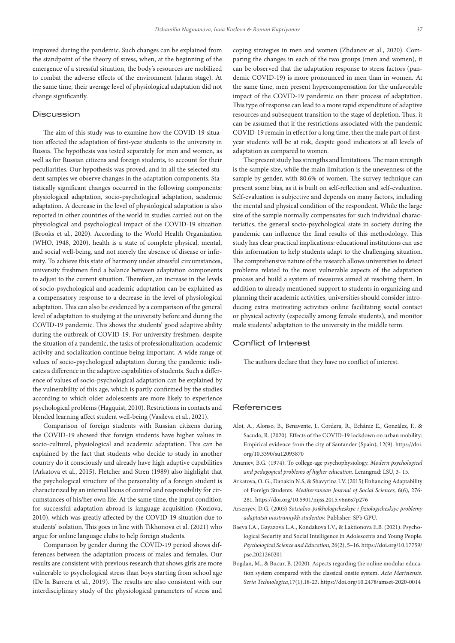improved during the pandemic. Such changes can be explained from the standpoint of the theory of stress, when, at the beginning of the emergence of a stressful situation, the body's resources are mobilized to combat the adverse effects of the environment (alarm stage). At the same time, their average level of physiological adaptation did not change significantly.

## Discussion

The aim of this study was to examine how the COVID-19 situation affected the adaptation of first-year students to the university in Russia. The hypothesis was tested separately for men and women, as well as for Russian citizens and foreign students, to account for their peculiarities. Our hypothesis was proved, and in all the selected student samples we observe changes in the adaptation components. Statistically significant changes occurred in the following components: physiological adaptation, socio-psychological adaptation, academic adaptation. A decrease in the level of physiological adaptation is also reported in other countries of the world in studies carried out on the physiological and psychological impact of the COVID-19 situation (Brooks et al., 2020). According to the World Health Organization (WHO, 1948, 2020), health is a state of complete physical, mental, and social well-being, and not merely the absence of disease or infirmity. To achieve this state of harmony under stressful circumstances, university freshmen find a balance between adaptation components to adjust to the current situation. Therefore, an increase in the levels of socio-psychological and academic adaptation can be explained as a compensatory response to a decrease in the level of physiological adaptation. This can also be evidenced by a comparison of the general level of adaptation to studying at the university before and during the COVID-19 pandemic. This shows the students' good adaptive ability during the outbreak of COVID-19. For university freshmen, despite the situation of a pandemic, the tasks of professionalization, academic activity and socialization continue being important. A wide range of values of socio-psychological adaptation during the pandemic indicates a difference in the adaptive capabilities of students. Such a difference of values of socio-psychological adaptation can be explained by the vulnerability of this age, which is partly confirmed by the studies according to which older adolescents are more likely to experience psychological problems (Hagquist, 2010). Restrictions in contacts and blended learning affect student well-being (Vasileva et al., 2021).

Comparison of foreign students with Russian citizens during the COVID-19 showed that foreign students have higher values in socio-cultural, physiological and academic adaptation. This can be explained by the fact that students who decide to study in another country do it consciously and already have high adaptive capabilities (Arkatova et al., 2015). Fletcher and Stren (1989) also highlight that the psychological structure of the personality of a foreign student is characterized by an internal locus of control and responsibility for circumstances of his/her own life. At the same time, the input condition for successful adaptation abroad is language acquisition (Kozlova, 2010), which was greatly affected by the COVID-19 situation due to students' isolation. This goes in line with Tikhonova et al. (2021) who argue for online language clubs to help foreign students.

Comparison by gender during the COVID-19 period shows differences between the adaptation process of males and females. Our results are consistent with previous research that shows girls are more vulnerable to psychological stress than boys starting from school age (De la Barrera et al., 2019). The results are also consistent with our interdisciplinary study of the physiological parameters of stress and coping strategies in men and women (Zhdanov et al., 2020). Comparing the changes in each of the two groups (men and women), it can be observed that the adaptation response to stress factors (pandemic COVID-19) is more pronounced in men than in women. At the same time, men present hypercompensation for the unfavorable impact of the COVID-19 pandemic on their process of adaptation. This type of response can lead to a more rapid expenditure of adaptive resources and subsequent transition to the stage of depletion. Thus, it can be assumed that if the restrictions associated with the pandemic COVID-19 remain in effect for a long time, then the male part of firstyear students will be at risk, despite good indicators at all levels of adaptation as compared to women.

The present study has strengths and limitations. The main strength is the sample size, while the main limitation is the unevenness of the sample by gender, with 80.6% of women. The survey technique can present some bias, as it is built on self-reflection and self-evaluation. Self-evaluation is subjective and depends on many factors, including the mental and physical condition of the respondent. While the large size of the sample normally compensates for such individual characteristics, the general socio-psychological state in society during the pandemic can influence the final results of this methodology. This study has clear practical implications: educational institutions can use this information to help students adapt to the challenging situation. The comprehensive nature of the research allows universities to detect problems related to the most vulnerable aspects of the adaptation process and build a system of measures aimed at resolving them. In addition to already mentioned support to students in organizing and planning their academic activities, universities should consider introducing extra motivating activities online facilitating social contact or physical activity (especially among female students), and monitor male students' adaptation to the university in the middle term.

#### Conflict of Interest

The authors declare that they have no conflict of interest.

## References

- Aloi, A., Alonso, B., Benavente, J., Cordera, R., Echániz E., González, F., & Saсudo, R. (2020). Effects of the COVID-19 lockdown on urban mobility: Empirical evidence from the city of Santander (Spain), 12(9). https://doi. org/10.3390/su12093870
- Ananiev, B.G. (1974). To college-age psychophysiology. *Modern psychological and pedagogical problems of higher education.* Leningrad: LSU, 3- 15.
- Arkatova, O. G., Danakin N.S, & Shavyrina I.V. (2015) Enhancing Adaptability of Foreign Students. *Mediterranean Journal of Social Sciences,* 6(6), 276- 281. https://doi.org/10.5901/mjss.2015.v6n6s7p276
- Arsenyev, D.G. (2003) *Sotsialno-psikhologicheskiye i fiziologicheskiye problemy adaptatsii inostrannykh studentov.* Publisher: SPb GPU.
- Baeva I.A., Gayazova L.A., Kondakova I.V., & Laktionova E.B. (2021). Psychological Security and Social Intelligence in Adolescents and Young People. *Psychological Science and Education*, 26(2), 5–16. https://doi.org/10.17759/ pse.2021260201
- Bogdan, M., & Bucur, B. (2020). Aspects regarding the online modular education system compared with the classical onsite system. *Acta Marisiensis. Seria Technologica*,17(1),18-23. https://doi.org/10.2478/amset-2020-0014